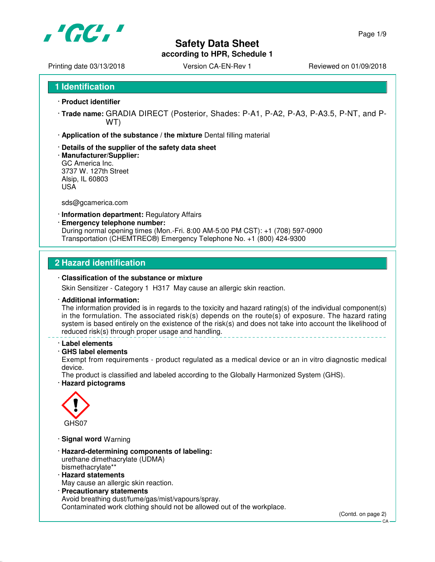

# **Safety Data Sheet**

**according to HPR, Schedule 1**

Printing date 03/13/2018 <br>
Version CA-EN-Rev 1 Reviewed on 01/09/2018

- · **Product identifier**
- · **Trade name:** GRADIA DIRECT (Posterior, Shades: P-A1, P-A2, P-A3, P-A3.5, P-NT, and P-WT)
- · **Application of the substance / the mixture** Dental filling material
- · **Details of the supplier of the safety data sheet**
- · **Manufacturer/Supplier:** GC America Inc. 3737 W. 127th Street Alsip, IL 60803 USA

sds@gcamerica.com

- · **Information department:** Regulatory Affairs
- · **Emergency telephone number:**

During normal opening times (Mon.-Fri. 8:00 AM-5:00 PM CST): +1 (708) 597-0900 Transportation (CHEMTREC®) Emergency Telephone No. +1 (800) 424-9300

### **2 Hazard identification**

### · **Classification of the substance or mixture**

Skin Sensitizer - Category 1 H317 May cause an allergic skin reaction.

### · **Additional information:**

The information provided is in regards to the toxicity and hazard rating(s) of the individual component(s) in the formulation. The associated risk(s) depends on the route(s) of exposure. The hazard rating system is based entirely on the existence of the risk(s) and does not take into account the likelihood of reduced risk(s) through proper usage and handling.

### · **Label elements**

### · **GHS label elements**

Exempt from requirements - product regulated as a medical device or an in vitro diagnostic medical device.

The product is classified and labeled according to the Globally Harmonized System (GHS).

### · **Hazard pictograms**



· **Signal word** Warning

- · **Hazard-determining components of labeling:** urethane dimethacrylate (UDMA) bismethacrylate\*\*
- · **Hazard statements**

May cause an allergic skin reaction.

· **Precautionary statements** Avoid breathing dust/fume/gas/mist/vapours/spray. Contaminated work clothing should not be allowed out of the workplace.

CA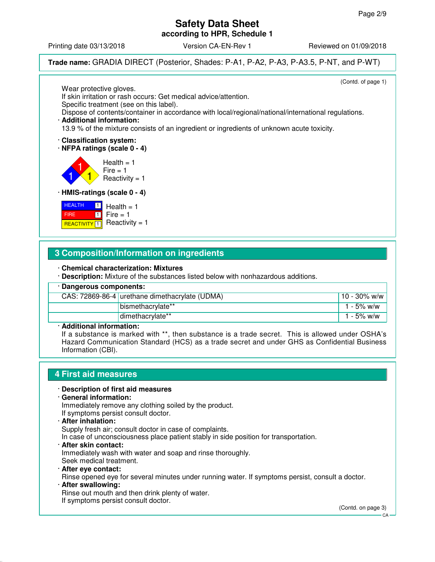Printing date 03/13/2018 **Version CA-EN-Rev 1** Reviewed on 01/09/2018

**Trade name:** GRADIA DIRECT (Posterior, Shades: P-A1, P-A2, P-A3, P-A3.5, P-NT, and P-WT)

(Contd. of page 1) Wear protective gloves. If skin irritation or rash occurs: Get medical advice/attention. Specific treatment (see on this label). Dispose of contents/container in accordance with local/regional/national/international regulations. · **Additional information:** 13.9 % of the mixture consists of an ingredient or ingredients of unknown acute toxicity. · **Classification system:** · **NFPA ratings (scale 0 - 4)** 1 1 1  $Health = 1$  $Fire = 1$ Reactivity  $= 1$ · **HMIS-ratings (scale 0 - 4)**

**HEALTH**  FIRE **REACTIVITY** 1  $\boxed{1}$  $\blacksquare$  $Health = 1$  $Fire = 1$ Reactivity  $= 1$ 

# **3 Composition/Information on ingredients**

· **Chemical characterization: Mixtures**

· **Description:** Mixture of the substances listed below with nonhazardous additions.

| · Dangerous components:               |                                                |                 |  |
|---------------------------------------|------------------------------------------------|-----------------|--|
|                                       | CAS: 72869-86-4 urethane dimethacrylate (UDMA) | $10 - 30\%$ w/w |  |
|                                       | bismethacrylate**                              | 1 - 5% w/w      |  |
|                                       | dimethacrylate**                               | 1 - 5% w/w      |  |
| A statistic could be formed at the co |                                                |                 |  |

### · **Additional information:**

If a substance is marked with \*\*, then substance is a trade secret. This is allowed under OSHA's Hazard Communication Standard (HCS) as a trade secret and under GHS as Confidential Business Information (CBI).

# **4 First aid measures**

### · **Description of first aid measures**

· **General information:**

Immediately remove any clothing soiled by the product. If symptoms persist consult doctor.

- 
- · **After inhalation:**

Supply fresh air; consult doctor in case of complaints.

In case of unconsciousness place patient stably in side position for transportation.

- · **After skin contact:** Immediately wash with water and soap and rinse thoroughly. Seek medical treatment.
- · **After eye contact:** Rinse opened eye for several minutes under running water. If symptoms persist, consult a doctor. · **After swallowing:**

Rinse out mouth and then drink plenty of water. If symptoms persist consult doctor.

(Contd. on page 3)

CA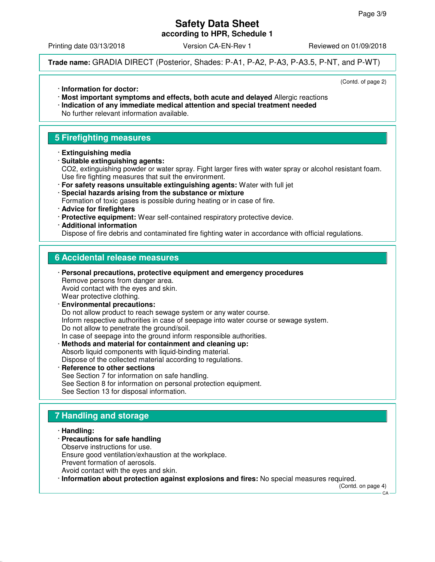Printing date 03/13/2018 **Version CA-EN-Rev 1** Reviewed on 01/09/2018

**Trade name:** GRADIA DIRECT (Posterior, Shades: P-A1, P-A2, P-A3, P-A3.5, P-NT, and P-WT)

(Contd. of page 2)

- · **Information for doctor:**
- · **Most important symptoms and effects, both acute and delayed** Allergic reactions · **Indication of any immediate medical attention and special treatment needed** No further relevant information available.

# **5 Firefighting measures**

- · **Extinguishing media**
- · **Suitable extinguishing agents:** CO2, extinguishing powder or water spray. Fight larger fires with water spray or alcohol resistant foam. Use fire fighting measures that suit the environment.
- · **For safety reasons unsuitable extinguishing agents:** Water with full jet · **Special hazards arising from the substance or mixture** Formation of toxic gases is possible during heating or in case of fire.
- · **Advice for firefighters**
- · **Protective equipment:** Wear self-contained respiratory protective device.
- · **Additional information**

Dispose of fire debris and contaminated fire fighting water in accordance with official regulations.

# **6 Accidental release measures**

· **Personal precautions, protective equipment and emergency procedures** Remove persons from danger area. Avoid contact with the eyes and skin. Wear protective clothing. · **Environmental precautions:** Do not allow product to reach sewage system or any water course.

Inform respective authorities in case of seepage into water course or sewage system. Do not allow to penetrate the ground/soil.

- In case of seepage into the ground inform responsible authorities.
- · **Methods and material for containment and cleaning up:** Absorb liquid components with liquid-binding material. Dispose of the collected material according to regulations.
- **Reference to other sections** See Section 7 for information on safe handling. See Section 8 for information on personal protection equipment. See Section 13 for disposal information.

# **7 Handling and storage**

- · **Handling:**
- · **Precautions for safe handling**
- Observe instructions for use.
- Ensure good ventilation/exhaustion at the workplace.
- Prevent formation of aerosols.
- Avoid contact with the eyes and skin.
- · **Information about protection against explosions and fires:** No special measures required.

(Contd. on page 4)

CA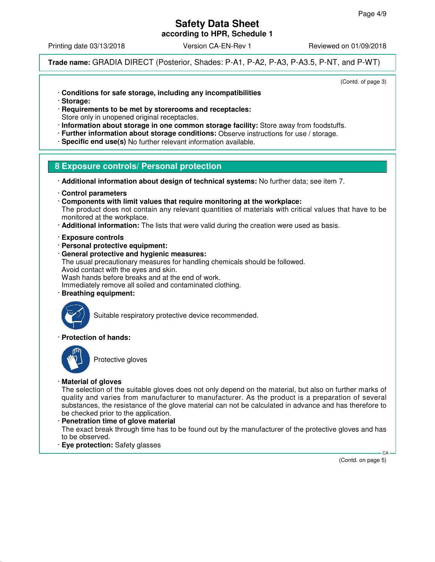Printing date 03/13/2018 **Version CA-EN-Rev 1** Reviewed on 01/09/2018

**Trade name:** GRADIA DIRECT (Posterior, Shades: P-A1, P-A2, P-A3, P-A3.5, P-NT, and P-WT)

(Contd. of page 3)

- · **Conditions for safe storage, including any incompatibilities**
- · **Storage:**
- · **Requirements to be met by storerooms and receptacles:**
- Store only in unopened original receptacles.
- · **Information about storage in one common storage facility:** Store away from foodstuffs.
- · **Further information about storage conditions:** Observe instructions for use / storage.
- · **Specific end use(s)** No further relevant information available.

# **8 Exposure controls/ Personal protection**

- · **Additional information about design of technical systems:** No further data; see item 7.
- · **Control parameters**
- · **Components with limit values that require monitoring at the workplace:** The product does not contain any relevant quantities of materials with critical values that have to be monitored at the workplace.
- · **Additional information:** The lists that were valid during the creation were used as basis.
- · **Exposure controls**
- · **Personal protective equipment:**
- · **General protective and hygienic measures:**
- The usual precautionary measures for handling chemicals should be followed.
- Avoid contact with the eyes and skin.

Wash hands before breaks and at the end of work.

Immediately remove all soiled and contaminated clothing.

· **Breathing equipment:**



Suitable respiratory protective device recommended.

### · **Protection of hands:**



Protective gloves

### · **Material of gloves**

The selection of the suitable gloves does not only depend on the material, but also on further marks of quality and varies from manufacturer to manufacturer. As the product is a preparation of several substances, the resistance of the glove material can not be calculated in advance and has therefore to be checked prior to the application.

### · **Penetration time of glove material**

The exact break through time has to be found out by the manufacturer of the protective gloves and has to be observed.

· **Eye protection:** Safety glasses

(Contd. on page 5)

CA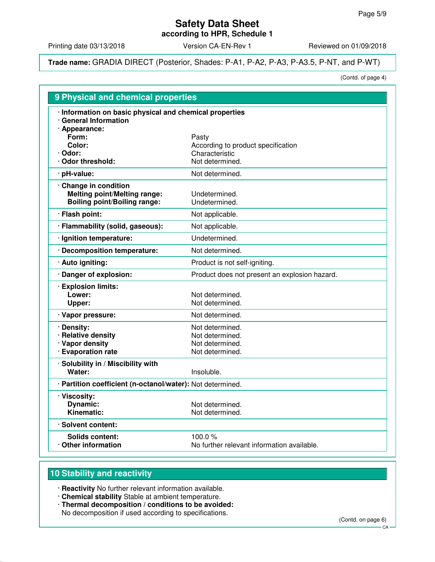Printing date 03/13/2018 Version CA-EN-Rev 1 Reviewed on 01/09/2018

**Trade name:** GRADIA DIRECT (Posterior, Shades: P-A1, P-A2, P-A3, P-A3.5, P-NT, and P-WT)

(Contd. of page 4)

| 9 Physical and chemical properties                                                                |                                                                                  |  |  |  |
|---------------------------------------------------------------------------------------------------|----------------------------------------------------------------------------------|--|--|--|
| · Information on basic physical and chemical properties<br>· General Information                  |                                                                                  |  |  |  |
| · Appearance:<br>Form:<br>Color:<br>· Odor:<br>Odor threshold:                                    | Pasty<br>According to product specification<br>Characteristic<br>Not determined. |  |  |  |
| · pH-value:                                                                                       | Not determined.                                                                  |  |  |  |
| Change in condition<br><b>Melting point/Melting range:</b><br><b>Boiling point/Boiling range:</b> | Undetermined.<br>Undetermined.                                                   |  |  |  |
| · Flash point:                                                                                    | Not applicable.                                                                  |  |  |  |
| · Flammability (solid, gaseous):                                                                  | Not applicable.                                                                  |  |  |  |
| · Ignition temperature:                                                                           | Undetermined.                                                                    |  |  |  |
| · Decomposition temperature:                                                                      | Not determined.                                                                  |  |  |  |
| · Auto igniting:                                                                                  | Product is not self-igniting.                                                    |  |  |  |
| · Danger of explosion:                                                                            | Product does not present an explosion hazard.                                    |  |  |  |
| · Explosion limits:<br>Lower:<br>Upper:                                                           | Not determined.<br>Not determined.                                               |  |  |  |
| · Vapor pressure:                                                                                 | Not determined.                                                                  |  |  |  |
| · Density:<br>· Relative density<br>· Vapor density<br>· Evaporation rate                         | Not determined.<br>Not determined.<br>Not determined.<br>Not determined.         |  |  |  |
| · Solubility in / Miscibility with<br>Water:                                                      | Insoluble.                                                                       |  |  |  |
| · Partition coefficient (n-octanol/water): Not determined.                                        |                                                                                  |  |  |  |
| · Viscosity:<br><b>Dynamic:</b><br>Kinematic:                                                     | Not determined.<br>Not determined.                                               |  |  |  |
| · Solvent content:                                                                                |                                                                                  |  |  |  |
| <b>Solids content:</b><br>Other information                                                       | 100.0 $%$<br>No further relevant information available.                          |  |  |  |

# **10 Stability and reactivity**

· **Reactivity** No further relevant information available.

- · **Chemical stability** Stable at ambient temperature.
- · **Thermal decomposition / conditions to be avoided:** No decomposition if used according to specifications.

(Contd. on page 6)

CA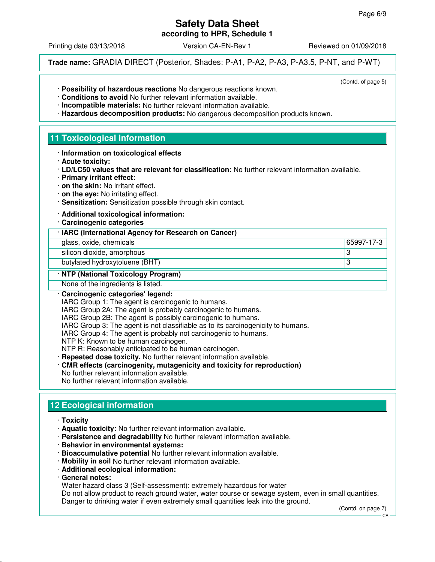(Contd. of page 5)

## **Safety Data Sheet according to HPR, Schedule 1**

Printing date 03/13/2018 Version CA-EN-Rev 1 Reviewed on 01/09/2018

**Trade name:** GRADIA DIRECT (Posterior, Shades: P-A1, P-A2, P-A3, P-A3.5, P-NT, and P-WT)

- · **Possibility of hazardous reactions** No dangerous reactions known.
- · **Conditions to avoid** No further relevant information available.
- · **Incompatible materials:** No further relevant information available.
- · **Hazardous decomposition products:** No dangerous decomposition products known.

# **11 Toxicological information**

- · **Information on toxicological effects**
- · **Acute toxicity:**
- · **LD/LC50 values that are relevant for classification:** No further relevant information available.
- · **Primary irritant effect:**
- · **on the skin:** No irritant effect.
- · **on the eye:** No irritating effect.
- · **Sensitization:** Sensitization possible through skin contact.

### · **Additional toxicological information:**

· **Carcinogenic categories**

### · **IARC (International Agency for Research on Cancer)**

glass, oxide, chemicals 65997-17-3

silicon dioxide, amorphous 3

butylated hydroxytoluene (BHT) 33

### · **NTP (National Toxicology Program)**

None of the ingredients is listed.

### · **Carcinogenic categories' legend:**

IARC Group 1: The agent is carcinogenic to humans.

IARC Group 2A: The agent is probably carcinogenic to humans.

- IARC Group 2B: The agent is possibly carcinogenic to humans.
- IARC Group 3: The agent is not classifiable as to its carcinogenicity to humans.
- IARC Group 4: The agent is probably not carcinogenic to humans.
- NTP K: Known to be human carcinogen.
- NTP R: Reasonably anticipated to be human carcinogen.
- · **Repeated dose toxicity.** No further relevant information available.
- · **CMR effects (carcinogenity, mutagenicity and toxicity for reproduction)** No further relevant information available.
- No further relevant information available.

# **12 Ecological information**

- · **Toxicity**
- · **Aquatic toxicity:** No further relevant information available.
- · **Persistence and degradability** No further relevant information available.
- · **Behavior in environmental systems:**
- · **Bioaccumulative potential** No further relevant information available.
- · **Mobility in soil** No further relevant information available.
- · **Additional ecological information:**
- · **General notes:**

Water hazard class 3 (Self-assessment): extremely hazardous for water

Do not allow product to reach ground water, water course or sewage system, even in small quantities. Danger to drinking water if even extremely small quantities leak into the ground.

(Contd. on page 7)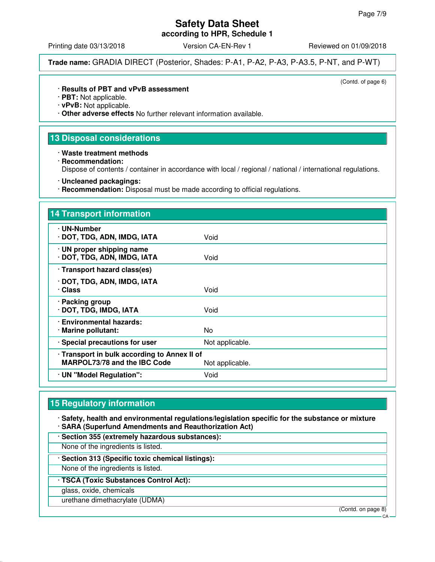# **Safety Data Sheet**

**according to HPR, Schedule 1**

Printing date 03/13/2018 **Version CA-EN-Rev 1** Reviewed on 01/09/2018

**Trade name:** GRADIA DIRECT (Posterior, Shades: P-A1, P-A2, P-A3, P-A3.5, P-NT, and P-WT)

(Contd. of page 6)

### · **Results of PBT and vPvB assessment**

· **PBT:** Not applicable.

· **vPvB:** Not applicable.

· **Other adverse effects** No further relevant information available.

# **13 Disposal considerations**

· **Waste treatment methods**

· **Recommendation:**

Dispose of contents / container in accordance with local / regional / national / international regulations.

- · **Uncleaned packagings:**
- · **Recommendation:** Disposal must be made according to official regulations.

| 14 Transport information                                                            |                 |
|-------------------------------------------------------------------------------------|-----------------|
| · UN-Number<br>· DOT, TDG, ADN, IMDG, IATA                                          | Void            |
| $\cdot$ UN proper shipping name<br>· DOT, TDG, ADN, IMDG, IATA                      | Void            |
| · Transport hazard class(es)                                                        |                 |
| · DOT, TDG, ADN, IMDG, IATA<br>· Class                                              | Void            |
| · Packing group<br>· DOT, TDG, IMDG, IATA                                           | Void            |
| · Environmental hazards:<br>· Marine pollutant:                                     | No.             |
| · Special precautions for user                                                      | Not applicable. |
| · Transport in bulk according to Annex II of<br><b>MARPOL73/78 and the IBC Code</b> | Not applicable. |
| · UN "Model Regulation":                                                            | Void            |

# **15 Regulatory information**

· **Safety, health and environmental regulations/legislation specific for the substance or mixture** · **SARA (Superfund Amendments and Reauthorization Act)**

· **Section 355 (extremely hazardous substances):**

None of the ingredients is listed.

· **Section 313 (Specific toxic chemical listings):**

None of the ingredients is listed.

· **TSCA (Toxic Substances Control Act):**

glass, oxide, chemicals

urethane dimethacrylate (UDMA)

(Contd. on page 8)

 $C.A$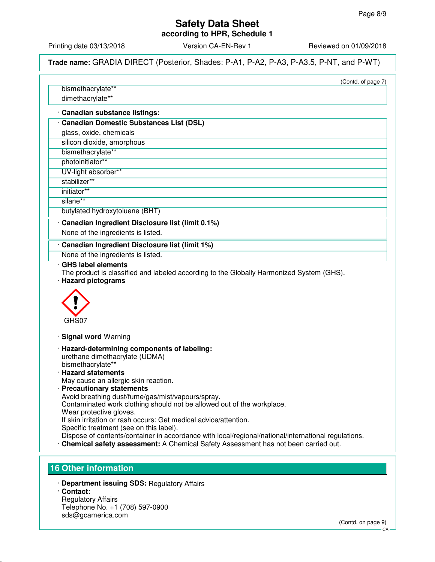# **Safety Data Sheet**

**according to HPR, Schedule 1**

Printing date 03/13/2018 **Version CA-EN-Rev 1** Reviewed on 01/09/2018

**Trade name:** GRADIA DIRECT (Posterior, Shades: P-A1, P-A2, P-A3, P-A3.5, P-NT, and P-WT)

(Contd. of page 7)

bismethacrylate\*\* dimethacrylate\*\*

### · **Canadian substance listings:**

· **Canadian Domestic Substances List (DSL)**

glass, oxide, chemicals

silicon dioxide, amorphous

bismethacrylate\*\*

photoinitiator\*\* UV-light absorber\*\*

stabilizer\*\*

initiator\*\*

silane\*\*

butylated hydroxytoluene (BHT)

# · **Canadian Ingredient Disclosure list (limit 0.1%)**

None of the ingredients is listed.

### · **Canadian Ingredient Disclosure list (limit 1%)**

None of the ingredients is listed.

### · **GHS label elements**

The product is classified and labeled according to the Globally Harmonized System (GHS). · **Hazard pictograms**



· **Signal word** Warning

- · **Hazard-determining components of labeling:** urethane dimethacrylate (UDMA) bismethacrylate\*\*
- · **Hazard statements** May cause an allergic skin reaction.

· **Precautionary statements** Avoid breathing dust/fume/gas/mist/vapours/spray. Contaminated work clothing should not be allowed out of the workplace. Wear protective gloves. If skin irritation or rash occurs: Get medical advice/attention. Specific treatment (see on this label). Dispose of contents/container in accordance with local/regional/national/international regulations.

· **Chemical safety assessment:** A Chemical Safety Assessment has not been carried out.

# **16 Other information**

· **Department issuing SDS:** Regulatory Affairs · **Contact:**

Regulatory Affairs Telephone No. +1 (708) 597-0900 sds@gcamerica.com